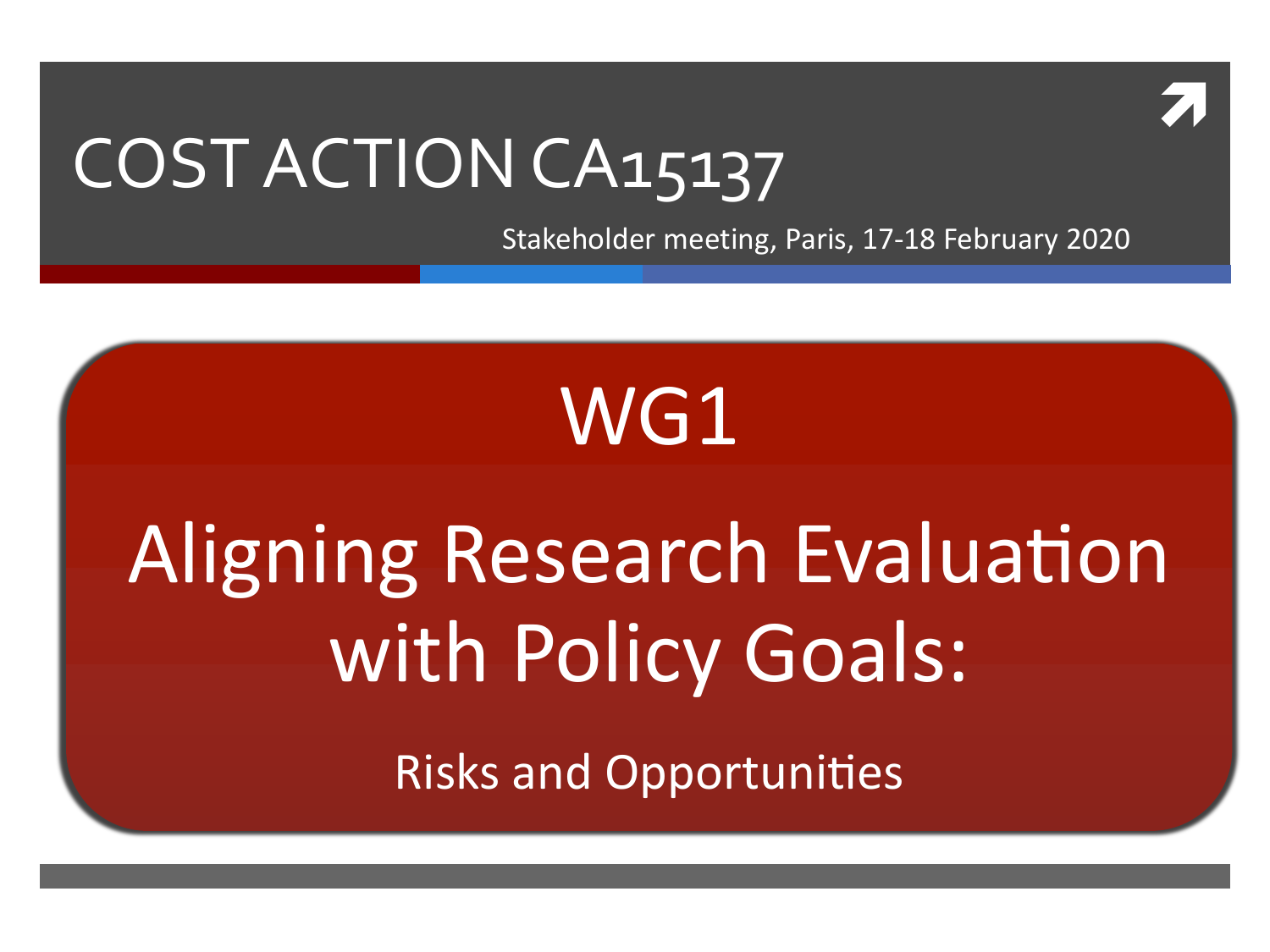

#### COST ACTION CA15137

Stakeholder meeting, Paris, 17-18 February 2020

## WG1

# **Aligning Research Evaluation** with Policy Goals:

**Risks and Opportunities**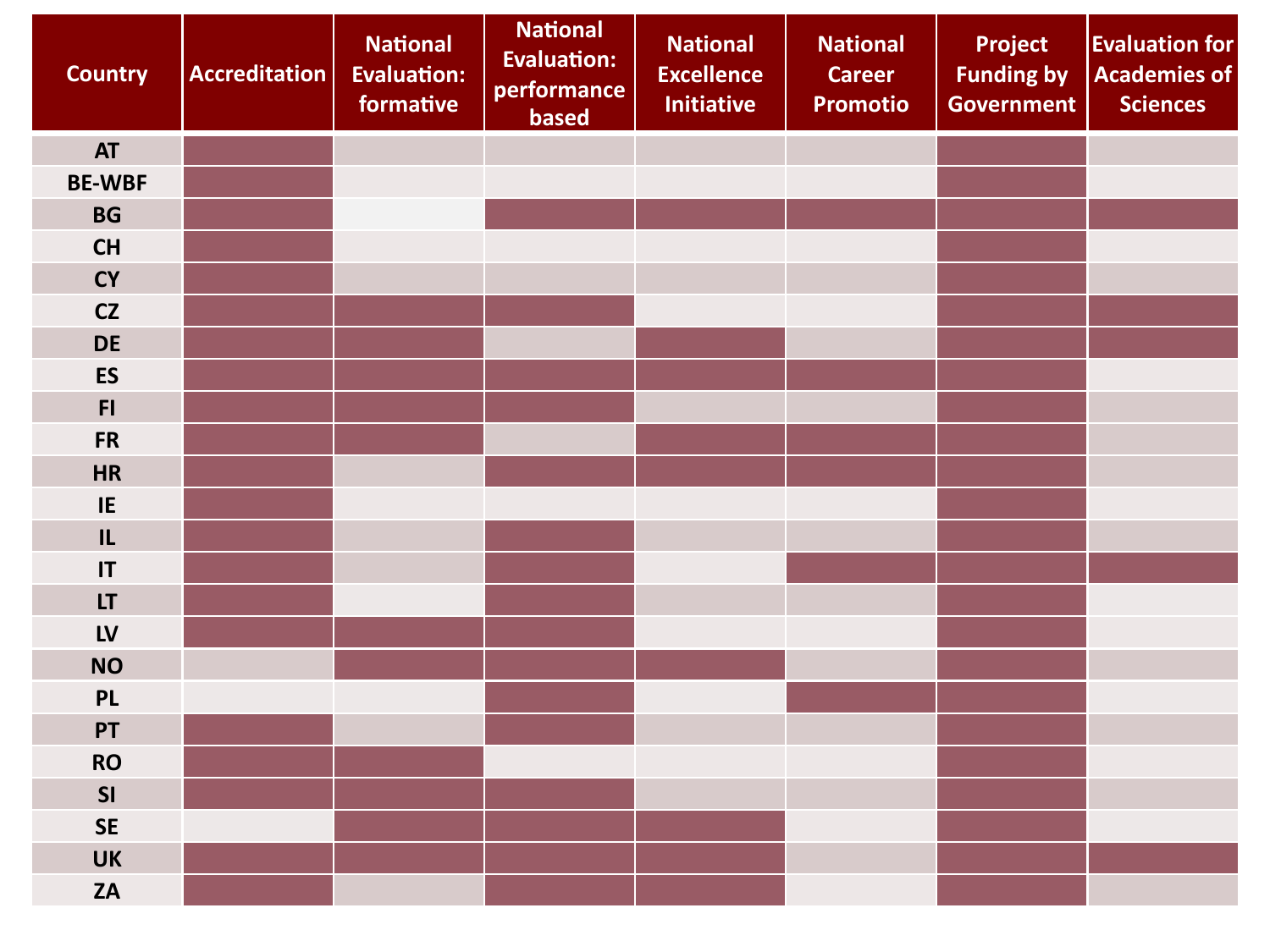| <b>Country</b>         | <b>Accreditation</b> | <b>National</b><br><b>Evaluation:</b><br>formative | <b>National</b><br><b>Evaluation:</b><br>performance<br>based | <b>National</b><br><b>Excellence</b><br><b>Initiative</b> | <b>National</b><br><b>Career</b><br><b>Promotio</b> | <b>Project</b><br><b>Funding by</b><br><b>Government</b> | <b>Evaluation for</b><br><b>Academies of</b><br><b>Sciences</b> |
|------------------------|----------------------|----------------------------------------------------|---------------------------------------------------------------|-----------------------------------------------------------|-----------------------------------------------------|----------------------------------------------------------|-----------------------------------------------------------------|
| <b>AT</b>              |                      |                                                    |                                                               |                                                           |                                                     |                                                          |                                                                 |
| <b>BE-WBF</b>          |                      |                                                    |                                                               |                                                           |                                                     |                                                          |                                                                 |
| <b>BG</b>              |                      |                                                    |                                                               |                                                           |                                                     |                                                          |                                                                 |
| <b>CH</b>              |                      |                                                    |                                                               |                                                           |                                                     |                                                          |                                                                 |
| <b>CY</b>              |                      |                                                    |                                                               |                                                           |                                                     |                                                          |                                                                 |
| CZ                     |                      |                                                    |                                                               |                                                           |                                                     |                                                          |                                                                 |
| <b>DE</b>              |                      |                                                    |                                                               |                                                           |                                                     |                                                          |                                                                 |
| <b>ES</b>              |                      |                                                    |                                                               |                                                           |                                                     |                                                          |                                                                 |
| F1                     |                      |                                                    |                                                               |                                                           |                                                     |                                                          |                                                                 |
| <b>FR</b>              |                      |                                                    |                                                               |                                                           |                                                     |                                                          |                                                                 |
| <b>HR</b>              |                      |                                                    |                                                               |                                                           |                                                     |                                                          |                                                                 |
| IE                     |                      |                                                    |                                                               |                                                           |                                                     |                                                          |                                                                 |
| IL                     |                      |                                                    |                                                               |                                                           |                                                     |                                                          |                                                                 |
| $\mathsf{I}\mathsf{T}$ |                      |                                                    |                                                               |                                                           |                                                     |                                                          |                                                                 |
| LT                     |                      |                                                    |                                                               |                                                           |                                                     |                                                          |                                                                 |
| LV                     |                      |                                                    |                                                               |                                                           |                                                     |                                                          |                                                                 |
| <b>NO</b>              |                      |                                                    |                                                               |                                                           |                                                     |                                                          |                                                                 |
| <b>PL</b>              |                      |                                                    |                                                               |                                                           |                                                     |                                                          |                                                                 |
| PT                     |                      |                                                    |                                                               |                                                           |                                                     |                                                          |                                                                 |
| <b>RO</b>              |                      |                                                    |                                                               |                                                           |                                                     |                                                          |                                                                 |
| SI                     |                      |                                                    |                                                               |                                                           |                                                     |                                                          |                                                                 |
| <b>SE</b>              |                      |                                                    |                                                               |                                                           |                                                     |                                                          |                                                                 |
| <b>UK</b>              |                      |                                                    |                                                               |                                                           |                                                     |                                                          |                                                                 |
| <b>ZA</b>              |                      |                                                    |                                                               |                                                           |                                                     |                                                          |                                                                 |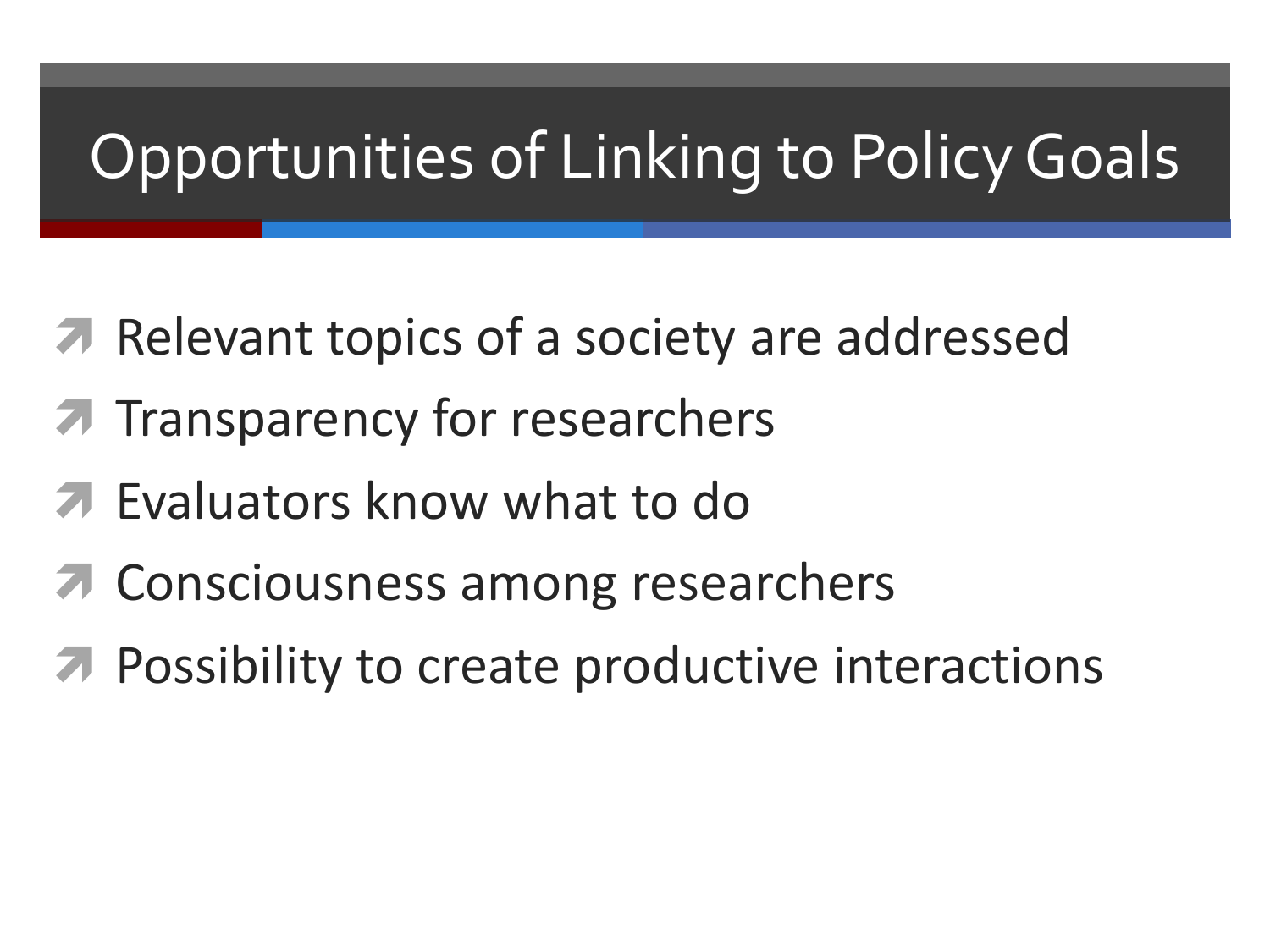#### **Opportunities of Linking to Policy Goals**

- **A** Relevant topics of a society are addressed
- Transparency for researchers
- Evaluators know what to do
- Consciousness among researchers
- Possibility to create productive interactions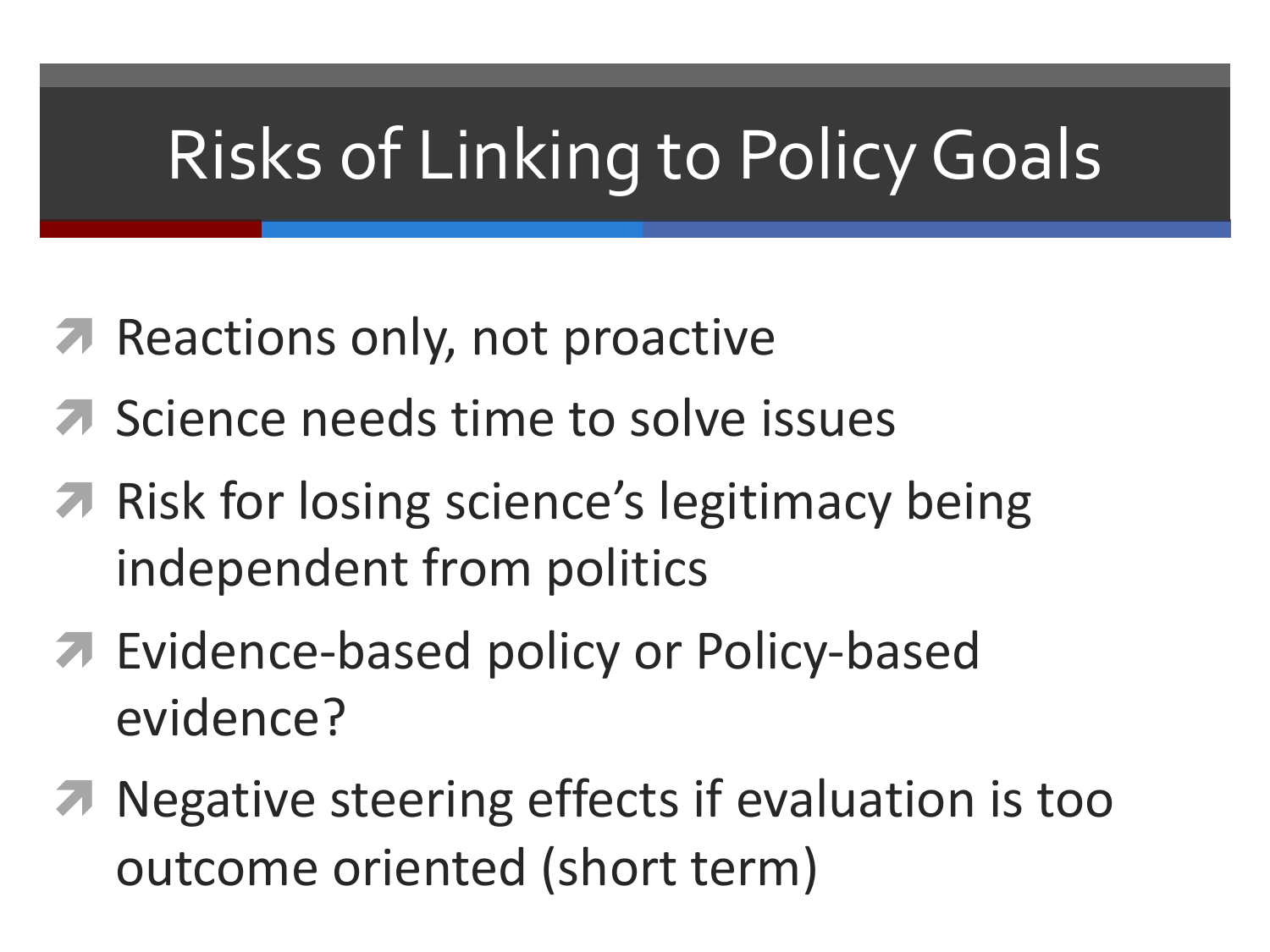### **Risks of Linking to Policy Goals**

- **A** Reactions only, not proactive
- **A** Science needs time to solve issues
- **7** Risk for losing science's legitimacy being independent from politics
- **7** Evidence-based policy or Policy-based evidence?
- **7** Negative steering effects if evaluation is too outcome oriented (short term)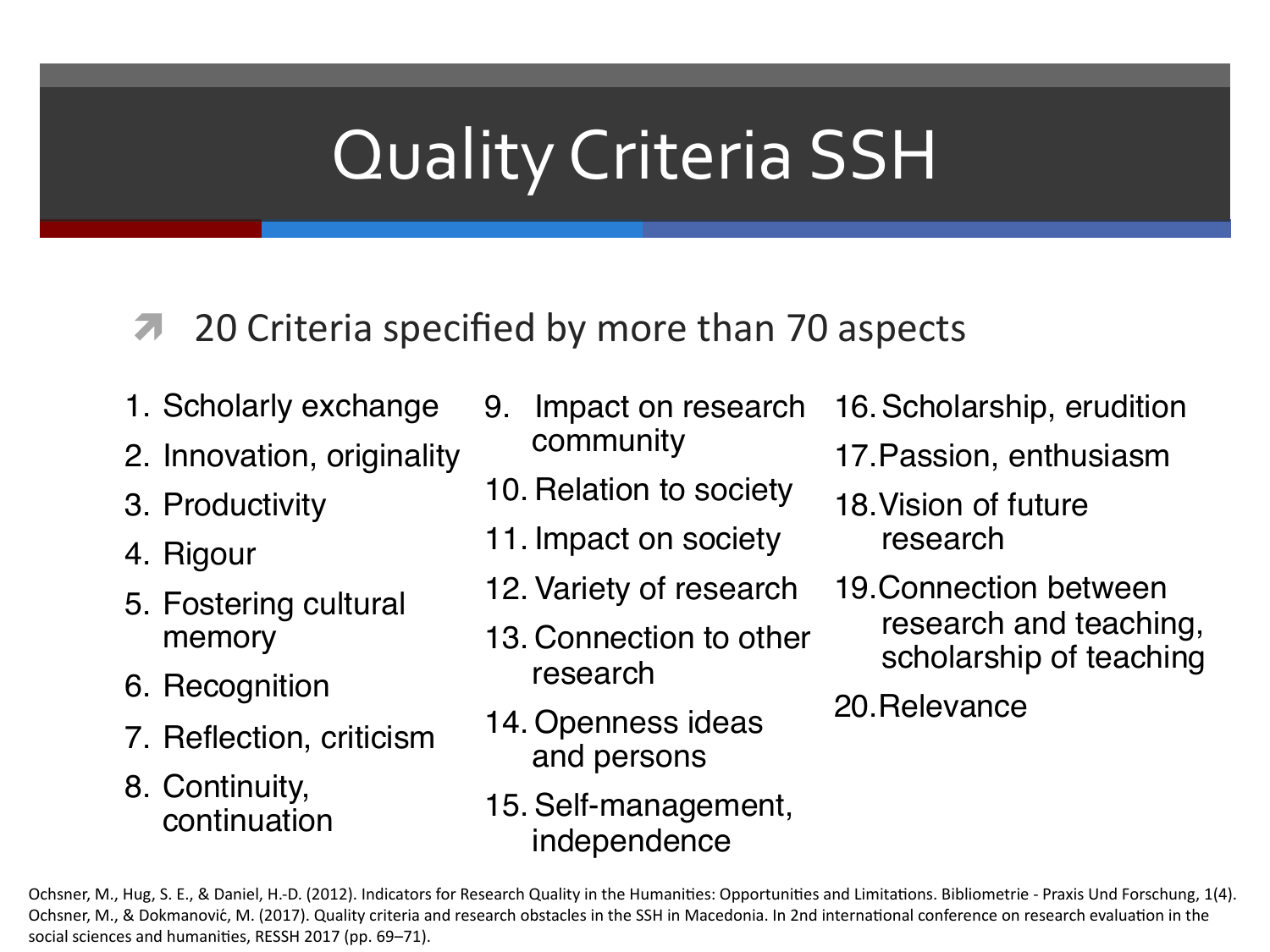#### Quality Criteria SSH

#### 20 Criteria specified by more than 70 aspects

- 1. Scholarly exchange
- 2. Innovation, originality
- 3. Productivity
- 4. Rigour
- 5. Fostering cultural memory
- 6. Recognition
- 7. Reflection, criticism
- 8. Continuity, continuation
- 9. Impact on research community
- 10. Relation to society
- 11. Impact on society
- 12. Variety of research
- 13. Connection to other research
- 14. Openness ideas and persons
- 15. Self-management, independence
- 16.Scholarship, erudition
- 17.Passion, enthusiasm
- 18.Vision of future research
- 19.Connection between research and teaching, scholarship of teaching
- 20.Relevance

Ochsner, M., Hug, S. E., & Daniel, H.-D. (2012). Indicators for Research Quality in the Humanities: Opportunities and Limitations. Bibliometrie - Praxis Und Forschung, 1(4). Ochsner, M., & Dokmanović, M. (2017). Quality criteria and research obstacles in the SSH in Macedonia. In 2nd international conference on research evaluation in the social sciences and humanities, RESSH 2017 (pp. 69–71).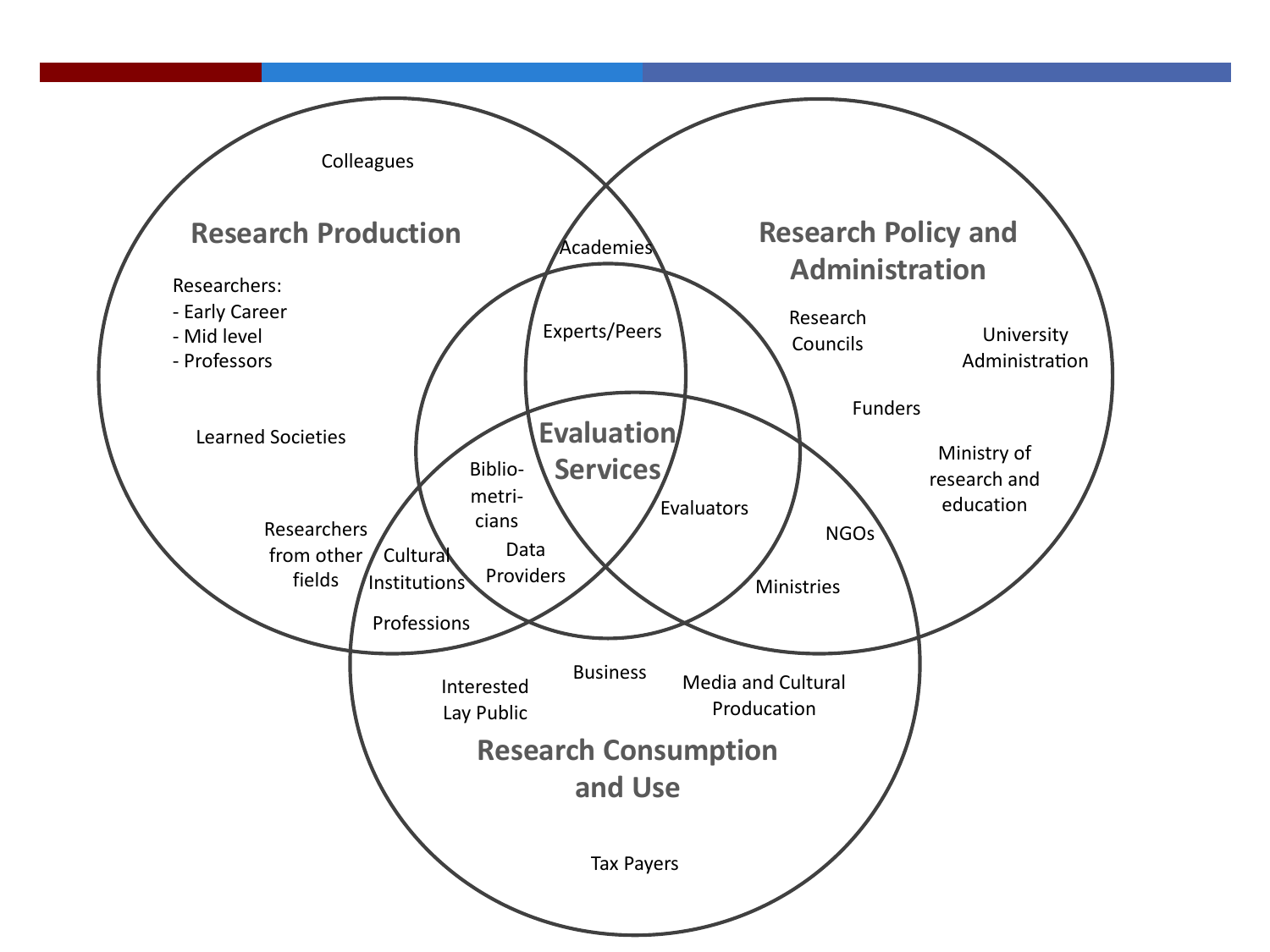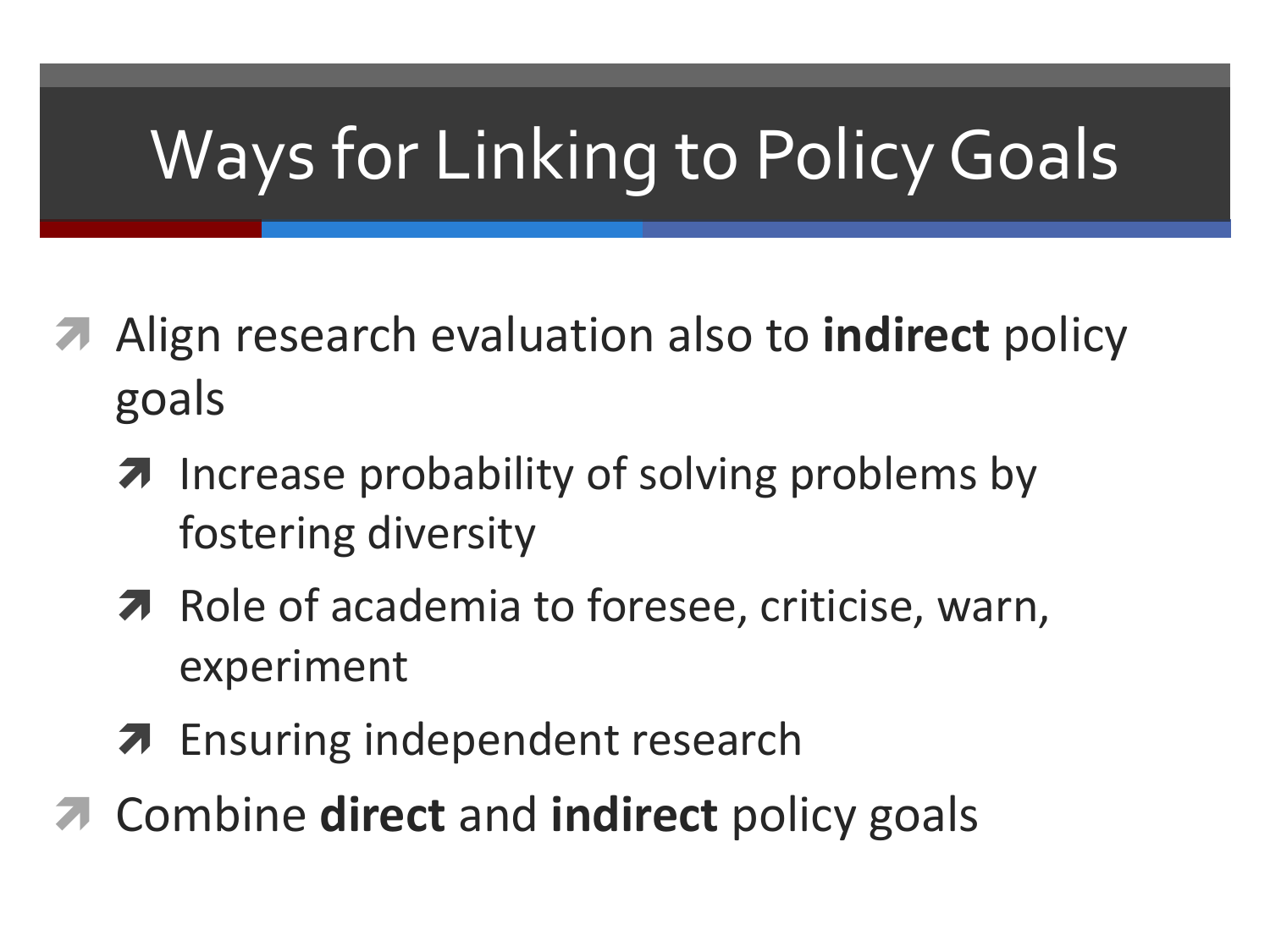### **Ways for Linking to Policy Goals**

- Align research evaluation also to **indirect** policy goals
	- **7** Increase probability of solving problems by fostering diversity
	- 7 Role of academia to foresee, criticise, warn, experiment
	- **7** Ensuring independent research
- **7** Combine direct and indirect policy goals